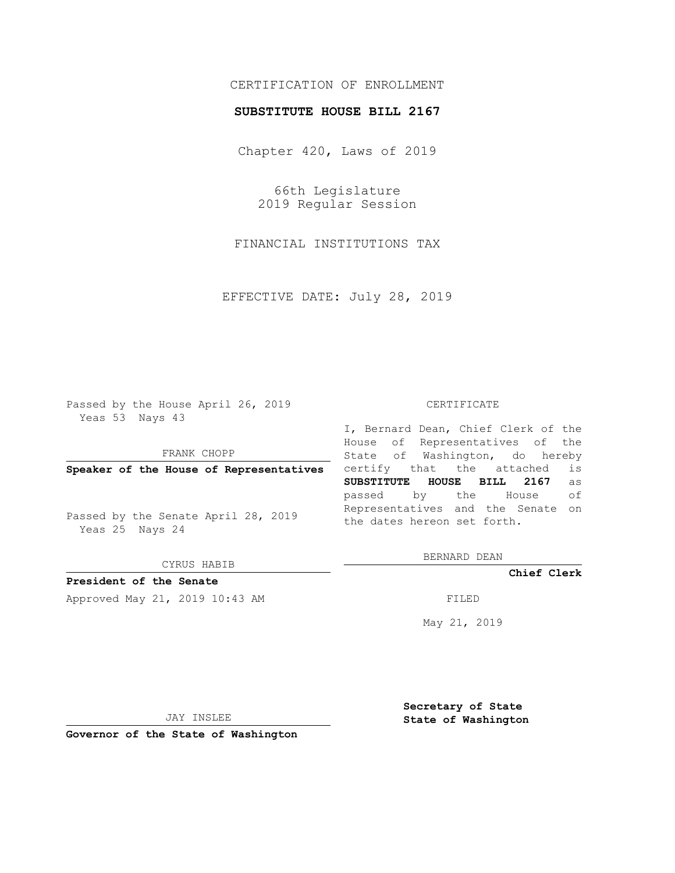## CERTIFICATION OF ENROLLMENT

## **SUBSTITUTE HOUSE BILL 2167**

Chapter 420, Laws of 2019

66th Legislature 2019 Regular Session

FINANCIAL INSTITUTIONS TAX

EFFECTIVE DATE: July 28, 2019

Passed by the House April 26, 2019 Yeas 53 Nays 43

FRANK CHOPP

**Speaker of the House of Representatives**

Passed by the Senate April 28, 2019 Yeas 25 Nays 24

CYRUS HABIB

**President of the Senate**

Approved May 21, 2019 10:43 AM FILED

## CERTIFICATE

I, Bernard Dean, Chief Clerk of the House of Representatives of the State of Washington, do hereby certify that the attached is **SUBSTITUTE HOUSE BILL 2167** as passed by the House of Representatives and the Senate on the dates hereon set forth.

BERNARD DEAN

**Chief Clerk**

May 21, 2019

JAY INSLEE

**Governor of the State of Washington**

**Secretary of State State of Washington**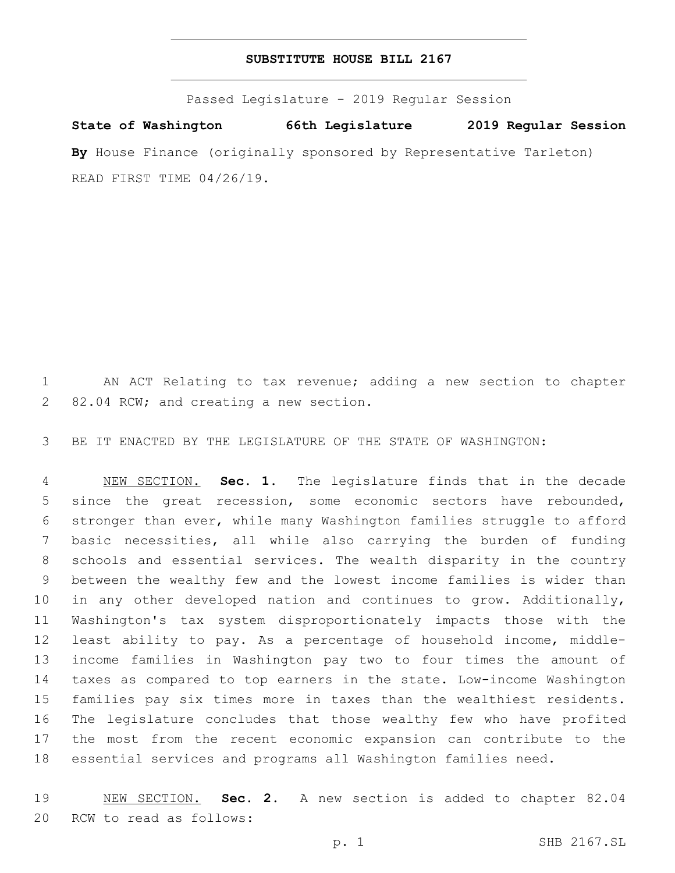## **SUBSTITUTE HOUSE BILL 2167**

Passed Legislature - 2019 Regular Session

**State of Washington 66th Legislature 2019 Regular Session** By House Finance (originally sponsored by Representative Tarleton) READ FIRST TIME 04/26/19.

 AN ACT Relating to tax revenue; adding a new section to chapter 2 82.04 RCW; and creating a new section.

BE IT ENACTED BY THE LEGISLATURE OF THE STATE OF WASHINGTON:

 NEW SECTION. **Sec. 1.** The legislature finds that in the decade since the great recession, some economic sectors have rebounded, stronger than ever, while many Washington families struggle to afford basic necessities, all while also carrying the burden of funding schools and essential services. The wealth disparity in the country between the wealthy few and the lowest income families is wider than in any other developed nation and continues to grow. Additionally, Washington's tax system disproportionately impacts those with the least ability to pay. As a percentage of household income, middle- income families in Washington pay two to four times the amount of taxes as compared to top earners in the state. Low-income Washington families pay six times more in taxes than the wealthiest residents. The legislature concludes that those wealthy few who have profited the most from the recent economic expansion can contribute to the essential services and programs all Washington families need.

 NEW SECTION. **Sec. 2.** A new section is added to chapter 82.04 20 RCW to read as follows: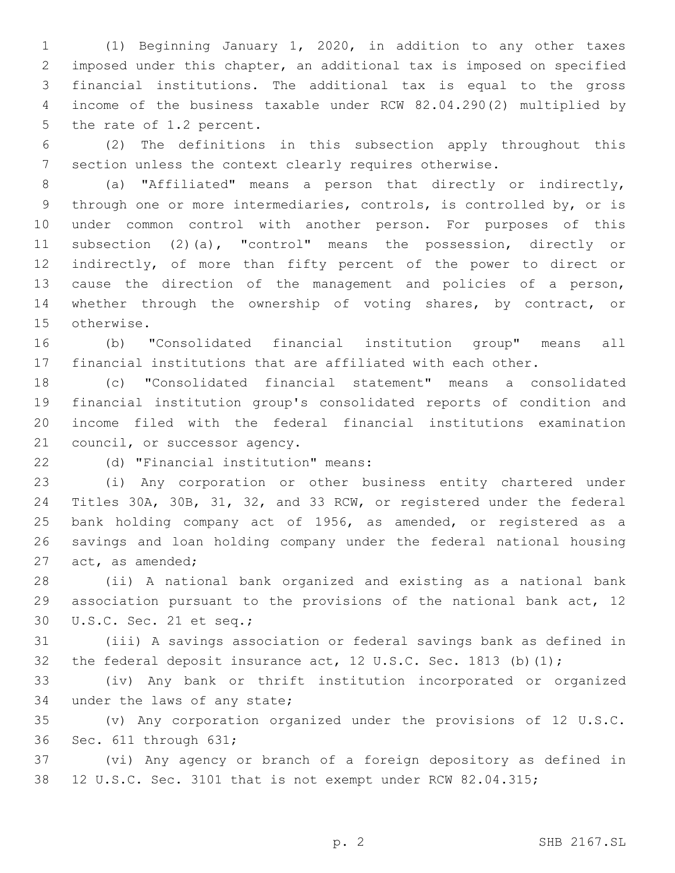(1) Beginning January 1, 2020, in addition to any other taxes imposed under this chapter, an additional tax is imposed on specified financial institutions. The additional tax is equal to the gross income of the business taxable under RCW 82.04.290(2) multiplied by 5 the rate of 1.2 percent.

 (2) The definitions in this subsection apply throughout this section unless the context clearly requires otherwise.

 (a) "Affiliated" means a person that directly or indirectly, through one or more intermediaries, controls, is controlled by, or is under common control with another person. For purposes of this subsection (2)(a), "control" means the possession, directly or indirectly, of more than fifty percent of the power to direct or cause the direction of the management and policies of a person, whether through the ownership of voting shares, by contract, or 15 otherwise.

 (b) "Consolidated financial institution group" means all financial institutions that are affiliated with each other.

 (c) "Consolidated financial statement" means a consolidated financial institution group's consolidated reports of condition and income filed with the federal financial institutions examination 21 council, or successor agency.

(d) "Financial institution" means:22

 (i) Any corporation or other business entity chartered under Titles 30A, 30B, 31, 32, and 33 RCW, or registered under the federal bank holding company act of 1956, as amended, or registered as a savings and loan holding company under the federal national housing 27 act, as amended;

 (ii) A national bank organized and existing as a national bank association pursuant to the provisions of the national bank act, 12 30 U.S.C. Sec. 21 et seq.;

 (iii) A savings association or federal savings bank as defined in 32 the federal deposit insurance act, 12 U.S.C. Sec. 1813 (b)(1);

 (iv) Any bank or thrift institution incorporated or organized 34 under the laws of any state;

 (v) Any corporation organized under the provisions of 12 U.S.C. 36 Sec. 611 through 631;

 (vi) Any agency or branch of a foreign depository as defined in 12 U.S.C. Sec. 3101 that is not exempt under RCW 82.04.315;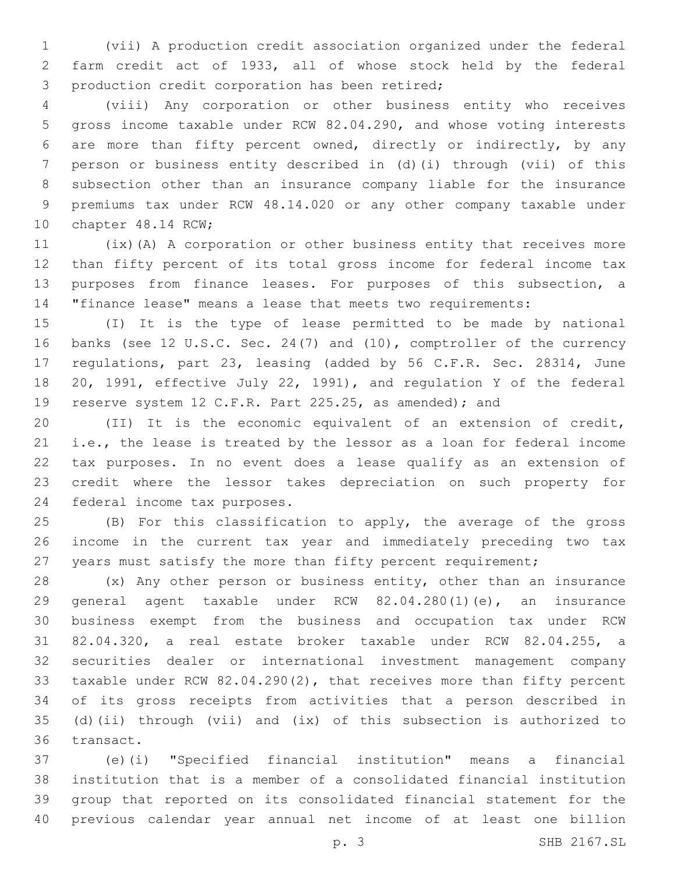(vii) A production credit association organized under the federal farm credit act of 1933, all of whose stock held by the federal 3 production credit corporation has been retired;

 (viii) Any corporation or other business entity who receives gross income taxable under RCW 82.04.290, and whose voting interests are more than fifty percent owned, directly or indirectly, by any person or business entity described in (d)(i) through (vii) of this subsection other than an insurance company liable for the insurance premiums tax under RCW 48.14.020 or any other company taxable under 10 chapter 48.14 RCW;

 (ix)(A) A corporation or other business entity that receives more than fifty percent of its total gross income for federal income tax purposes from finance leases. For purposes of this subsection, a "finance lease" means a lease that meets two requirements:

 (I) It is the type of lease permitted to be made by national banks (see 12 U.S.C. Sec. 24(7) and (10), comptroller of the currency regulations, part 23, leasing (added by 56 C.F.R. Sec. 28314, June 20, 1991, effective July 22, 1991), and regulation Y of the federal reserve system 12 C.F.R. Part 225.25, as amended); and

 (II) It is the economic equivalent of an extension of credit, i.e., the lease is treated by the lessor as a loan for federal income tax purposes. In no event does a lease qualify as an extension of credit where the lessor takes depreciation on such property for 24 federal income tax purposes.

 (B) For this classification to apply, the average of the gross income in the current tax year and immediately preceding two tax 27 years must satisfy the more than fifty percent requirement;

 (x) Any other person or business entity, other than an insurance general agent taxable under RCW 82.04.280(1)(e), an insurance business exempt from the business and occupation tax under RCW 82.04.320, a real estate broker taxable under RCW 82.04.255, a securities dealer or international investment management company taxable under RCW 82.04.290(2), that receives more than fifty percent of its gross receipts from activities that a person described in (d)(ii) through (vii) and (ix) of this subsection is authorized to 36 transact.

 (e)(i) "Specified financial institution" means a financial institution that is a member of a consolidated financial institution group that reported on its consolidated financial statement for the previous calendar year annual net income of at least one billion

p. 3 SHB 2167.SL